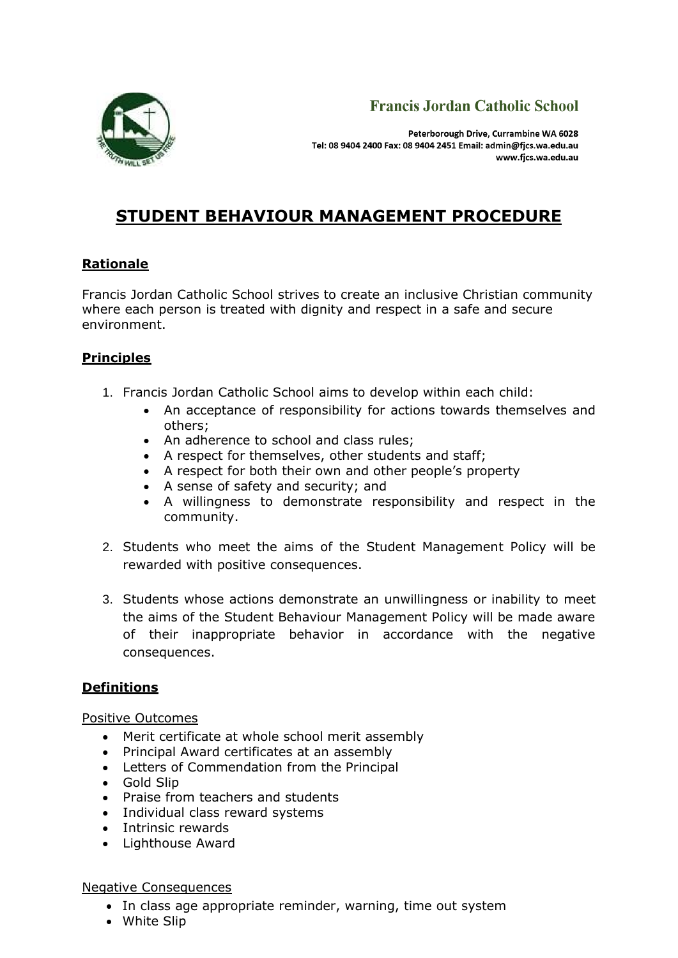



Peterborough Drive, Currambine WA 6028 Tel: 08 9404 2400 Fax: 08 9404 2451 Email: admin@fics.wa.edu.au www.fjcs.wa.edu.au

# **STUDENT BEHAVIOUR MANAGEMENT PROCEDURE**

## **Rationale**

Francis Jordan Catholic School strives to create an inclusive Christian community where each person is treated with dignity and respect in a safe and secure environment.

# **Principles**

- 1. Francis Jordan Catholic School aims to develop within each child:
	- An acceptance of responsibility for actions towards themselves and others;
	- An adherence to school and class rules;
	- A respect for themselves, other students and staff;
	- A respect for both their own and other people's property
	- A sense of safety and security; and
	- A willingness to demonstrate responsibility and respect in the community.
- 2. Students who meet the aims of the Student Management Policy will be rewarded with positive consequences.
- 3. Students whose actions demonstrate an unwillingness or inability to meet the aims of the Student Behaviour Management Policy will be made aware of their inappropriate behavior in accordance with the negative consequences.

# **Definitions**

#### Positive Outcomes

- Merit certificate at whole school merit assembly
- Principal Award certificates at an assembly
- Letters of Commendation from the Principal
- Gold Slip
- Praise from teachers and students
- Individual class reward systems
- Intrinsic rewards
- Lighthouse Award

#### Negative Consequences

- In class age appropriate reminder, warning, time out system
- White Slip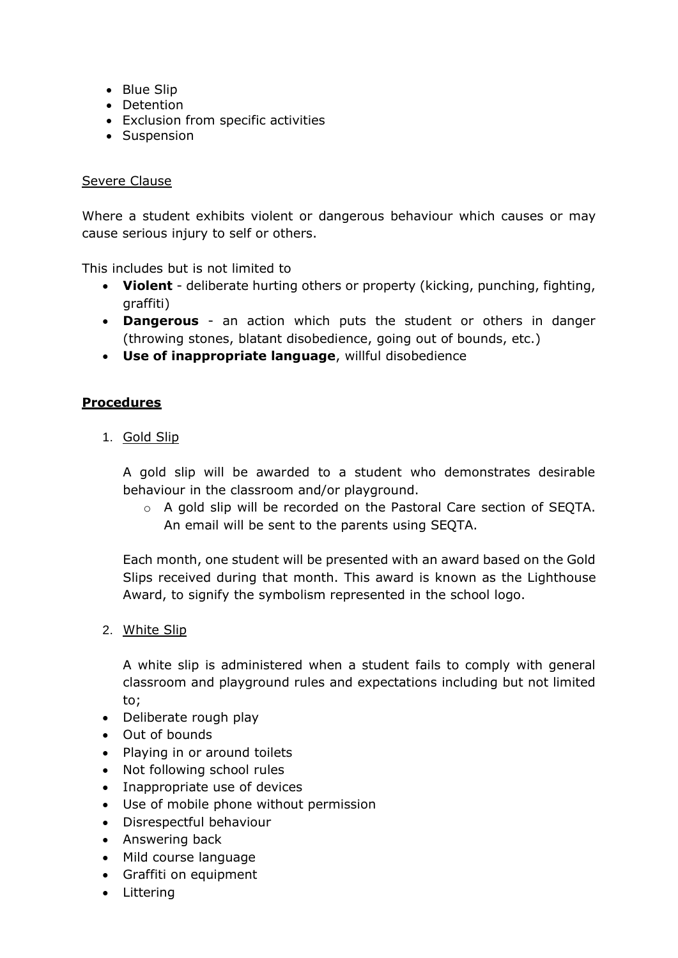- Blue Slip
- Detention
- Exclusion from specific activities
- Suspension

#### Severe Clause

Where a student exhibits violent or dangerous behaviour which causes or may cause serious injury to self or others.

This includes but is not limited to

- **Violent** deliberate hurting others or property (kicking, punching, fighting, graffiti)
- **Dangerous** an action which puts the student or others in danger (throwing stones, blatant disobedience, going out of bounds, etc.)
- **Use of inappropriate language**, willful disobedience

## **Procedures**

1. Gold Slip

A gold slip will be awarded to a student who demonstrates desirable behaviour in the classroom and/or playground.

o A gold slip will be recorded on the Pastoral Care section of SEQTA. An email will be sent to the parents using SEQTA.

Each month, one student will be presented with an award based on the Gold Slips received during that month. This award is known as the Lighthouse Award, to signify the symbolism represented in the school logo.

2. White Slip

A white slip is administered when a student fails to comply with general classroom and playground rules and expectations including but not limited to;

- Deliberate rough play
- Out of bounds
- Playing in or around toilets
- Not following school rules
- Inappropriate use of devices
- Use of mobile phone without permission
- Disrespectful behaviour
- Answering back
- Mild course language
- Graffiti on equipment
- Littering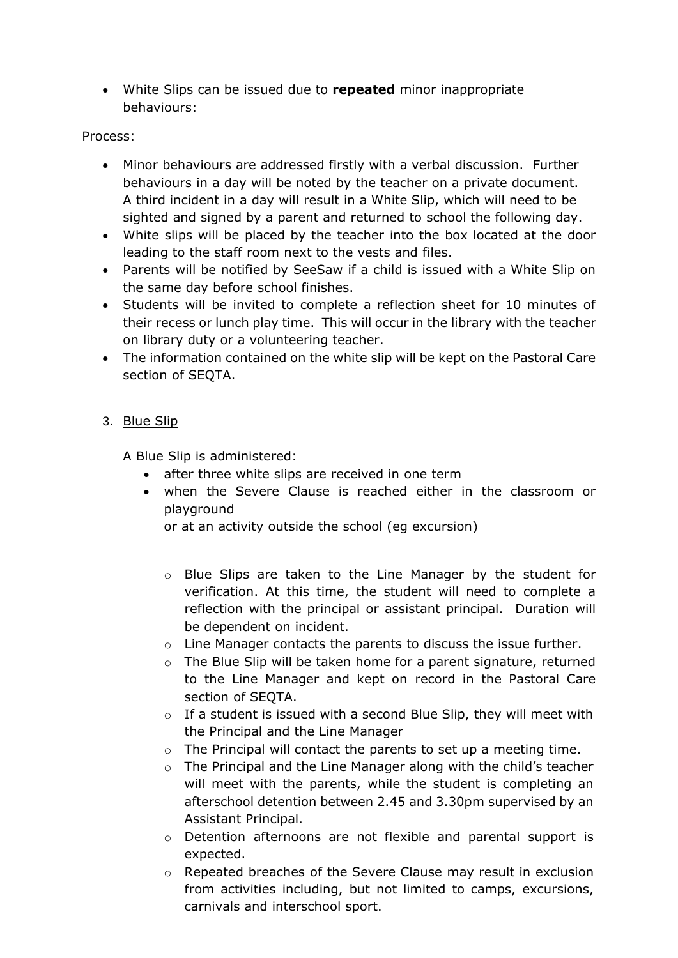• White Slips can be issued due to **repeated** minor inappropriate behaviours:

## Process:

- Minor behaviours are addressed firstly with a verbal discussion. Further behaviours in a day will be noted by the teacher on a private document. A third incident in a day will result in a White Slip, which will need to be sighted and signed by a parent and returned to school the following day.
- White slips will be placed by the teacher into the box located at the door leading to the staff room next to the vests and files.
- Parents will be notified by SeeSaw if a child is issued with a White Slip on the same day before school finishes.
- Students will be invited to complete a reflection sheet for 10 minutes of their recess or lunch play time. This will occur in the library with the teacher on library duty or a volunteering teacher.
- The information contained on the white slip will be kept on the Pastoral Care section of SEQTA.

## 3. Blue Slip

A Blue Slip is administered:

- after three white slips are received in one term
- when the Severe Clause is reached either in the classroom or playground

or at an activity outside the school (eg excursion)

- o Blue Slips are taken to the Line Manager by the student for verification. At this time, the student will need to complete a reflection with the principal or assistant principal. Duration will be dependent on incident.
- $\circ$  Line Manager contacts the parents to discuss the issue further.
- o The Blue Slip will be taken home for a parent signature, returned to the Line Manager and kept on record in the Pastoral Care section of SEQTA.
- $\circ$  If a student is issued with a second Blue Slip, they will meet with the Principal and the Line Manager
- $\circ$  The Principal will contact the parents to set up a meeting time.
- o The Principal and the Line Manager along with the child's teacher will meet with the parents, while the student is completing an afterschool detention between 2.45 and 3.30pm supervised by an Assistant Principal.
- $\circ$  Detention afternoons are not flexible and parental support is expected.
- o Repeated breaches of the Severe Clause may result in exclusion from activities including, but not limited to camps, excursions, carnivals and interschool sport.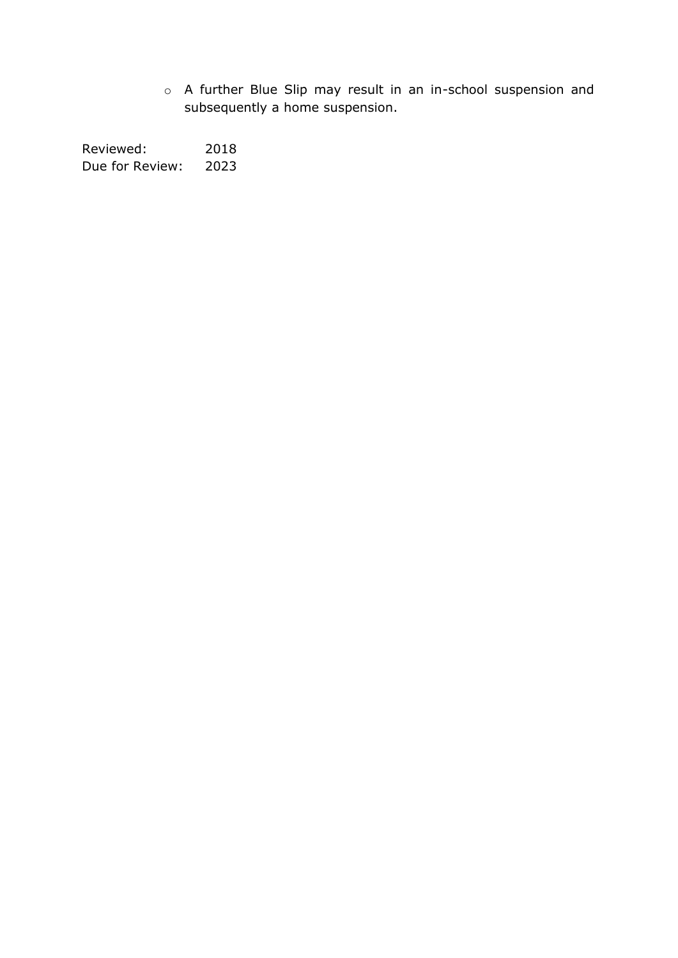o A further Blue Slip may result in an in-school suspension and subsequently a home suspension.

Reviewed: 2018 Due for Review: 2023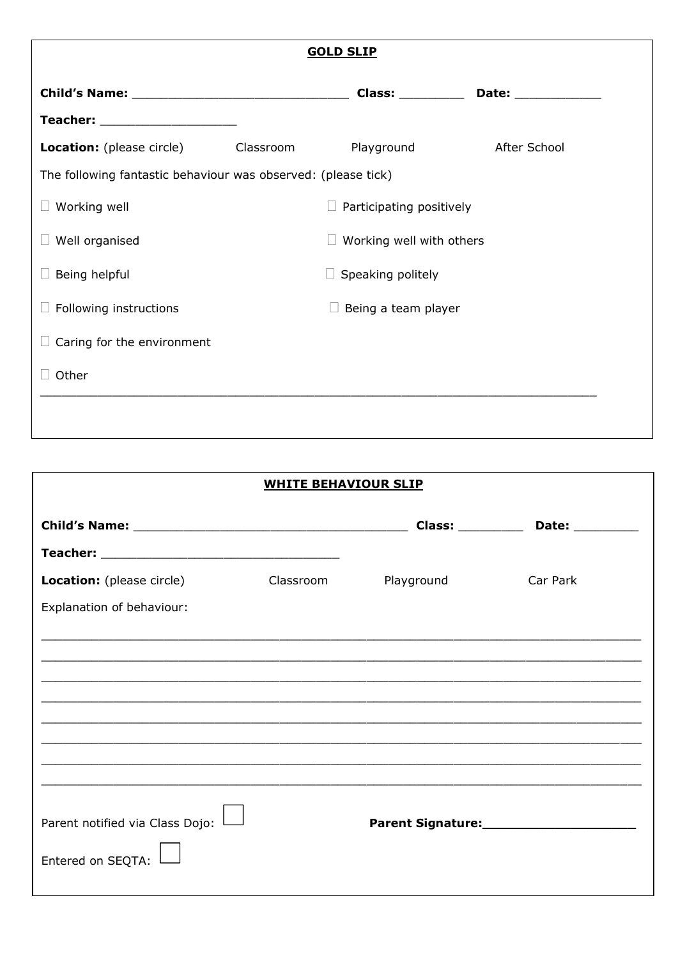| <b>GOLD SLIP</b>                                              |  |                                 |              |  |  |  |
|---------------------------------------------------------------|--|---------------------------------|--------------|--|--|--|
|                                                               |  |                                 |              |  |  |  |
| Teacher: ______________________                               |  |                                 |              |  |  |  |
| <b>Location:</b> (please circle) Classroom                    |  | Playground                      | After School |  |  |  |
| The following fantastic behaviour was observed: (please tick) |  |                                 |              |  |  |  |
| Working well                                                  |  | Participating positively        |              |  |  |  |
| Well organised                                                |  | $\Box$ Working well with others |              |  |  |  |
| Being helpful                                                 |  | $\Box$ Speaking politely        |              |  |  |  |
| Following instructions                                        |  | $\Box$ Being a team player      |              |  |  |  |
| Caring for the environment                                    |  |                                 |              |  |  |  |
| Other                                                         |  |                                 |              |  |  |  |

| <b>WHITE BEHAVIOUR SLIP</b>                                                       |           |                    |                  |  |  |  |
|-----------------------------------------------------------------------------------|-----------|--------------------|------------------|--|--|--|
|                                                                                   |           | Class: ___________ | Date: __________ |  |  |  |
|                                                                                   |           |                    |                  |  |  |  |
| <b>Location:</b> (please circle)                                                  | Classroom | Playground         | Car Park         |  |  |  |
| Explanation of behaviour:                                                         |           |                    |                  |  |  |  |
|                                                                                   |           |                    |                  |  |  |  |
|                                                                                   |           |                    |                  |  |  |  |
| ,我们也不能会在这里的,我们也不能会在这里,我们也不能会在这里,我们也不能会在这里,我们也不能会在这里,我们也不能会在这里,我们也不能会不能会不能会。""我们,我 |           |                    |                  |  |  |  |
|                                                                                   |           |                    |                  |  |  |  |
|                                                                                   |           |                    |                  |  |  |  |
|                                                                                   |           |                    |                  |  |  |  |
|                                                                                   |           |                    |                  |  |  |  |
| Parent notified via Class Dojo:                                                   |           |                    |                  |  |  |  |
| Entered on SEQTA:                                                                 |           |                    |                  |  |  |  |
|                                                                                   |           |                    |                  |  |  |  |